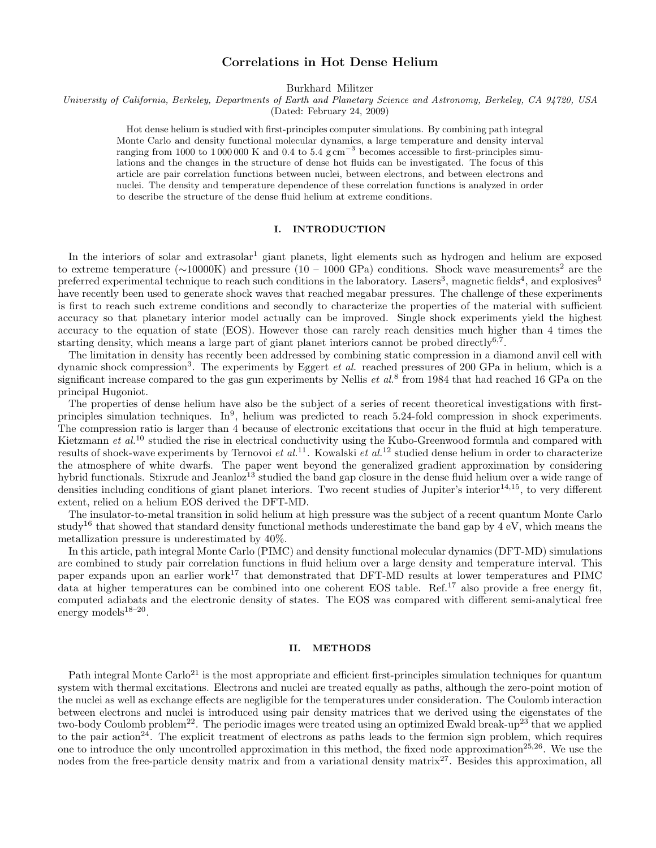# Correlations in Hot Dense Helium

Burkhard Militzer

University of California, Berkeley, Departments of Earth and Planetary Science and Astronomy, Berkeley, CA 94720, USA

(Dated: February 24, 2009)

Hot dense helium is studied with first-principles computer simulations. By combining path integral Monte Carlo and density functional molecular dynamics, a large temperature and density interval ranging from 1000 to 1 000 000 K and 0.4 to 5.4 g cm<sup>−</sup><sup>3</sup> becomes accessible to first-principles simulations and the changes in the structure of dense hot fluids can be investigated. The focus of this article are pair correlation functions between nuclei, between electrons, and between electrons and nuclei. The density and temperature dependence of these correlation functions is analyzed in order to describe the structure of the dense fluid helium at extreme conditions.

## I. INTRODUCTION

In the interiors of solar and extrasolar<sup>1</sup> giant planets, light elements such as hydrogen and helium are exposed to extreme temperature ( $\sim$ 10000K) and pressure (10 – 1000 GPa) conditions. Shock wave measurements<sup>2</sup> are the preferred experimental technique to reach such conditions in the laboratory. Lasers<sup>3</sup>, magnetic fields<sup>4</sup>, and explosives<sup>5</sup> have recently been used to generate shock waves that reached megabar pressures. The challenge of these experiments is first to reach such extreme conditions and secondly to characterize the properties of the material with sufficient accuracy so that planetary interior model actually can be improved. Single shock experiments yield the highest accuracy to the equation of state (EOS). However those can rarely reach densities much higher than 4 times the starting density, which means a large part of giant planet interiors cannot be probed directly<sup>6,7</sup>.

The limitation in density has recently been addressed by combining static compression in a diamond anvil cell with dynamic shock compression<sup>3</sup>. The experiments by Eggert *et al.* reached pressures of 200 GPa in helium, which is a significant increase compared to the gas gun experiments by Nellis  $et al.^8$  from 1984 that had reached 16 GPa on the principal Hugoniot.

The properties of dense helium have also be the subject of a series of recent theoretical investigations with firstprinciples simulation techniques. In<sup>9</sup>, helium was predicted to reach 5.24-fold compression in shock experiments. The compression ratio is larger than 4 because of electronic excitations that occur in the fluid at high temperature. Kietzmann et al.<sup>10</sup> studied the rise in electrical conductivity using the Kubo-Greenwood formula and compared with results of shock-wave experiments by Ternovoi et  $al$ .<sup>11</sup>. Kowalski et  $al$ .<sup>12</sup> studied dense helium in order to characterize the atmosphere of white dwarfs. The paper went beyond the generalized gradient approximation by considering hybrid functionals. Stixrude and Jeanloz<sup>13</sup> studied the band gap closure in the dense fluid helium over a wide range of densities including conditions of giant planet interiors. Two recent studies of Jupiter's interior $^{14,15}$ , to very different extent, relied on a helium EOS derived the DFT-MD.

The insulator-to-metal transition in solid helium at high pressure was the subject of a recent quantum Monte Carlo study<sup>16</sup> that showed that standard density functional methods underestimate the band gap by  $4 \text{ eV}$ , which means the metallization pressure is underestimated by 40%.

In this article, path integral Monte Carlo (PIMC) and density functional molecular dynamics (DFT-MD) simulations are combined to study pair correlation functions in fluid helium over a large density and temperature interval. This paper expands upon an earlier work<sup>17</sup> that demonstrated that DFT-MD results at lower temperatures and PIMC data at higher temperatures can be combined into one coherent EOS table. Ref.<sup>17</sup> also provide a free energy fit, computed adiabats and the electronic density of states. The EOS was compared with different semi-analytical free energy models $18-20$ .

## II. METHODS

Path integral Monte Carlo<sup>21</sup> is the most appropriate and efficient first-principles simulation techniques for quantum system with thermal excitations. Electrons and nuclei are treated equally as paths, although the zero-point motion of the nuclei as well as exchange effects are negligible for the temperatures under consideration. The Coulomb interaction between electrons and nuclei is introduced using pair density matrices that we derived using the eigenstates of the two-body Coulomb problem<sup>22</sup>. The periodic images were treated using an optimized Ewald break-up<sup>23</sup> that we applied to the pair action<sup>24</sup>. The explicit treatment of electrons as paths leads to the fermion sign problem, which requires one to introduce the only uncontrolled approximation in this method, the fixed node approximation<sup>25,26</sup>. We use the nodes from the free-particle density matrix and from a variational density matrix<sup>27</sup>. Besides this approximation, all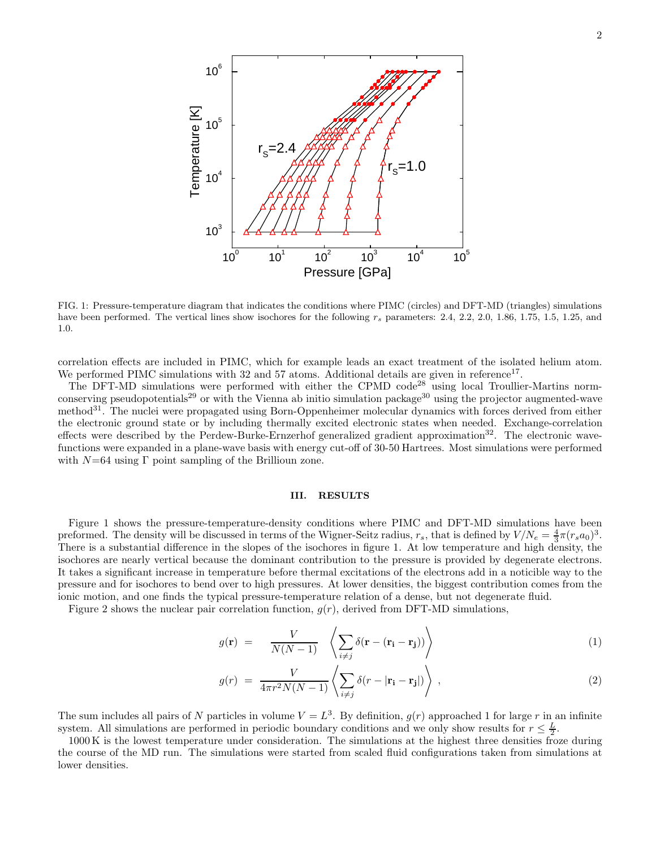

FIG. 1: Pressure-temperature diagram that indicates the conditions where PIMC (circles) and DFT-MD (triangles) simulations have been performed. The vertical lines show isochores for the following  $r_s$  parameters: 2.4, 2.2, 2.0, 1.86, 1.75, 1.5, 1.25, and 1.0.

correlation effects are included in PIMC, which for example leads an exact treatment of the isolated helium atom. We performed PIMC simulations with  $32$  and  $57$  atoms. Additional details are given in reference<sup>17</sup>.

The DFT-MD simulations were performed with either the CPMD code<sup>28</sup> using local Troullier-Martins normconserving pseudopotentials<sup>29</sup> or with the Vienna ab initio simulation package<sup>30</sup> using the projector augmented-wave method<sup>31</sup>. The nuclei were propagated using Born-Oppenheimer molecular dynamics with forces derived from either the electronic ground state or by including thermally excited electronic states when needed. Exchange-correlation effects were described by the Perdew-Burke-Ernzerhof generalized gradient approximation<sup>32</sup>. The electronic wavefunctions were expanded in a plane-wave basis with energy cut-off of 30-50 Hartrees. Most simulations were performed with  $N=64$  using  $\Gamma$  point sampling of the Brillioun zone.

### III. RESULTS

Figure 1 shows the pressure-temperature-density conditions where PIMC and DFT-MD simulations have been preformed. The density will be discussed in terms of the Wigner-Seitz radius,  $r_s$ , that is defined by  $V/N_e = \frac{4}{3}\pi (r_s a_0)^3$ . There is a substantial difference in the slopes of the isochores in figure 1. At low temperature and high density, the isochores are nearly vertical because the dominant contribution to the pressure is provided by degenerate electrons. It takes a significant increase in temperature before thermal excitations of the electrons add in a noticible way to the pressure and for isochores to bend over to high pressures. At lower densities, the biggest contribution comes from the ionic motion, and one finds the typical pressure-temperature relation of a dense, but not degenerate fluid.

Figure 2 shows the nuclear pair correlation function,  $g(r)$ , derived from DFT-MD simulations,

$$
g(\mathbf{r}) = \frac{V}{N(N-1)} \left\langle \sum_{i \neq j} \delta(\mathbf{r} - (\mathbf{r_i} - \mathbf{r_j})) \right\rangle \tag{1}
$$

$$
g(r) = \frac{V}{4\pi r^2 N(N-1)} \left\langle \sum_{i \neq j} \delta(r - |\mathbf{r_i} - \mathbf{r_j}|) \right\rangle , \qquad (2)
$$

The sum includes all pairs of N particles in volume  $V = L^3$ . By definition,  $g(r)$  approached 1 for large r in an infinite system. All simulations are performed in periodic boundary conditions and we only show results for  $r \leq \frac{L}{2}$ .

1000 K is the lowest temperature under consideration. The simulations at the highest three densities froze during the course of the MD run. The simulations were started from scaled fluid configurations taken from simulations at lower densities.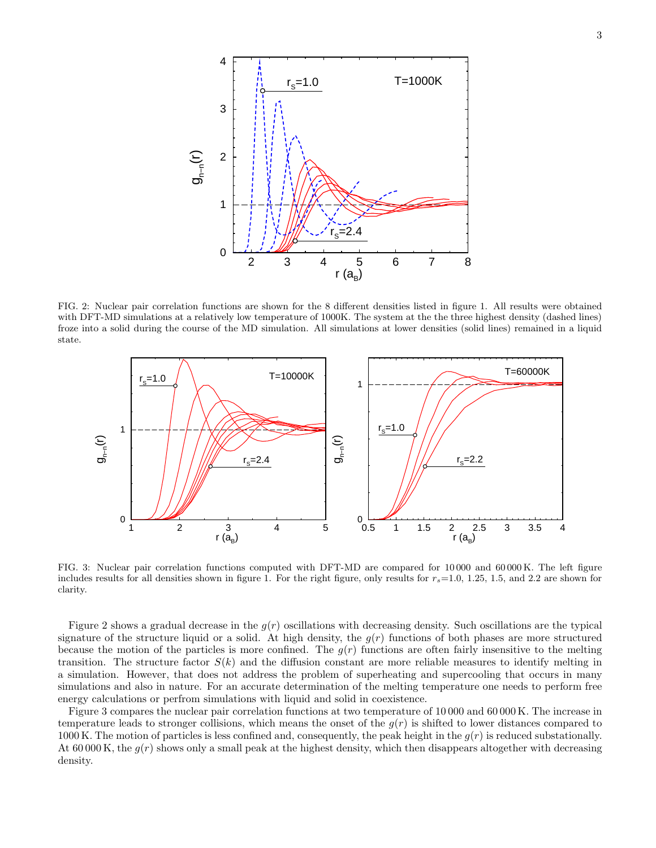

FIG. 2: Nuclear pair correlation functions are shown for the 8 different densities listed in figure 1. All results were obtained with DFT-MD simulations at a relatively low temperature of 1000K. The system at the the three highest density (dashed lines) froze into a solid during the course of the MD simulation. All simulations at lower densities (solid lines) remained in a liquid state.



FIG. 3: Nuclear pair correlation functions computed with DFT-MD are compared for 10 000 and 60 000 K. The left figure includes results for all densities shown in figure 1. For the right figure, only results for  $r_s=1.0, 1.25, 1.5,$  and 2.2 are shown for clarity.

Figure 2 shows a gradual decrease in the  $g(r)$  oscillations with decreasing density. Such oscillations are the typical signature of the structure liquid or a solid. At high density, the  $g(r)$  functions of both phases are more structured because the motion of the particles is more confined. The  $g(r)$  functions are often fairly insensitive to the melting transition. The structure factor  $S(k)$  and the diffusion constant are more reliable measures to identify melting in a simulation. However, that does not address the problem of superheating and supercooling that occurs in many simulations and also in nature. For an accurate determination of the melting temperature one needs to perform free energy calculations or perfrom simulations with liquid and solid in coexistence.

Figure 3 compares the nuclear pair correlation functions at two temperature of 10 000 and 60 000 K. The increase in temperature leads to stronger collisions, which means the onset of the  $g(r)$  is shifted to lower distances compared to 1000 K. The motion of particles is less confined and, consequently, the peak height in the  $g(r)$  is reduced substationally. At 60 000 K, the  $g(r)$  shows only a small peak at the highest density, which then disappears altogether with decreasing density.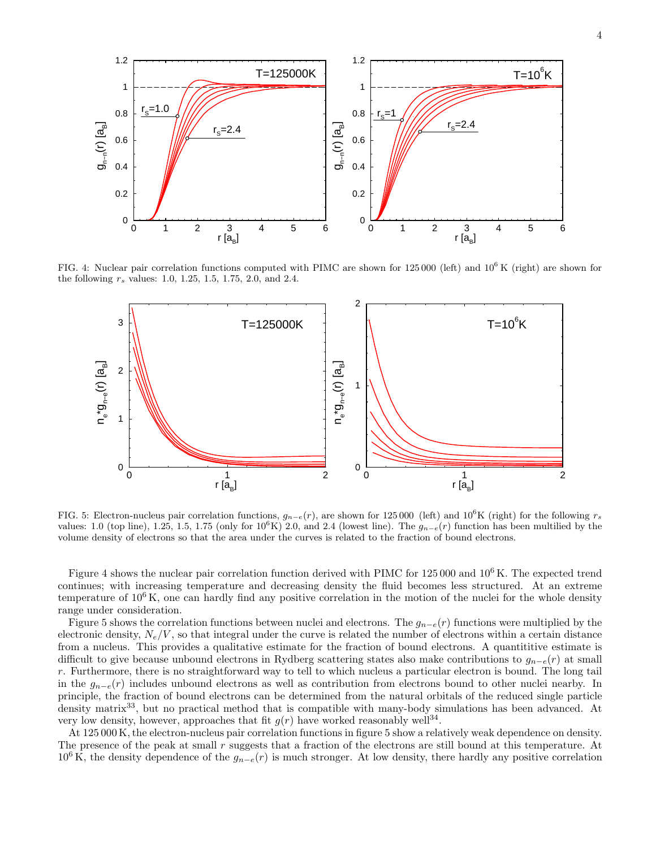

FIG. 4: Nuclear pair correlation functions computed with PIMC are shown for  $125\,000$  (left) and  $10^6$  K (right) are shown for the following  $r_s$  values: 1.0, 1.25, 1.5, 1.75, 2.0, and 2.4.



FIG. 5: Electron-nucleus pair correlation functions,  $g_{n-e}(r)$ , are shown for 125 000 (left) and 10<sup>6</sup>K (right) for the following  $r_s$ values: 1.0 (top line), 1.25, 1.5, 1.75 (only for  $10^6$ K) 2.0, and 2.4 (lowest line). The  $g_{n-e}(r)$  function has been multilied by the volume density of electrons so that the area under the curves is related to the fraction of bound electrons.

Figure 4 shows the nuclear pair correlation function derived with PIMC for 125 000 and 10<sup>6</sup> K. The expected trend continues; with increasing temperature and decreasing density the fluid becomes less structured. At an extreme temperature of  $10^6$  K, one can hardly find any positive correlation in the motion of the nuclei for the whole density range under consideration.

Figure 5 shows the correlation functions between nuclei and electrons. The  $g_{n-e}(r)$  functions were multiplied by the electronic density,  $N_e/V$ , so that integral under the curve is related the number of electrons within a certain distance from a nucleus. This provides a qualitative estimate for the fraction of bound electrons. A quantititive estimate is difficult to give because unbound electrons in Rydberg scattering states also make contributions to  $g_{n-e}(r)$  at small r. Furthermore, there is no straightforward way to tell to which nucleus a particular electron is bound. The long tail in the  $g_{n-e}(r)$  includes unbound electrons as well as contribution from electrons bound to other nuclei nearby. In principle, the fraction of bound electrons can be determined from the natural orbitals of the reduced single particle density matrix<sup>33</sup>, but no practical method that is compatible with many-body simulations has been advanced. At very low density, however, approaches that fit  $g(r)$  have worked reasonably well<sup>34</sup>.

At 125 000 K, the electron-nucleus pair correlation functions in figure 5 show a relatively weak dependence on density. The presence of the peak at small r suggests that a fraction of the electrons are still bound at this temperature. At  $10^6$  K, the density dependence of the  $g_{n-e}(r)$  is much stronger. At low density, there hardly any positive correlation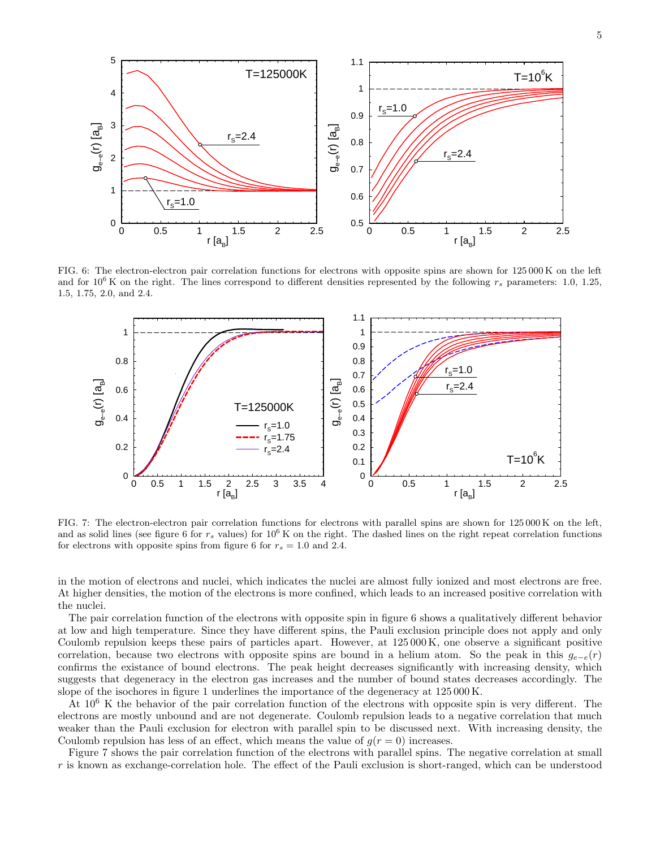

FIG. 6: The electron-electron pair correlation functions for electrons with opposite spins are shown for 125 000 K on the left and for  $10^6$  K on the right. The lines correspond to different densities represented by the following  $r_s$  parameters: 1.0, 1.25, 1.5, 1.75, 2.0, and 2.4.



FIG. 7: The electron-electron pair correlation functions for electrons with parallel spins are shown for 125 000 K on the left, and as solid lines (see figure 6 for  $r_s$  values) for  $10^6$  K on the right. The dashed lines on the right repeat correlation functions for electrons with opposite spins from figure 6 for  $r_s = 1.0$  and 2.4.

in the motion of electrons and nuclei, which indicates the nuclei are almost fully ionized and most electrons are free. At higher densities, the motion of the electrons is more confined, which leads to an increased positive correlation with the nuclei.

The pair correlation function of the electrons with opposite spin in figure 6 shows a qualitatively different behavior at low and high temperature. Since they have different spins, the Pauli exclusion principle does not apply and only Coulomb repulsion keeps these pairs of particles apart. However, at 125 000 K, one observe a significant positive correlation, because two electrons with opposite spins are bound in a helium atom. So the peak in this  $q_{e-e}(r)$ confirms the existance of bound electrons. The peak height decreases significantly with increasing density, which suggests that degeneracy in the electron gas increases and the number of bound states decreases accordingly. The slope of the isochores in figure 1 underlines the importance of the degeneracy at 125 000 K.

At  $10^6$  K the behavior of the pair correlation function of the electrons with opposite spin is very different. The electrons are mostly unbound and are not degenerate. Coulomb repulsion leads to a negative correlation that much weaker than the Pauli exclusion for electron with parallel spin to be discussed next. With increasing density, the Coulomb repulsion has less of an effect, which means the value of  $g(r = 0)$  increases.

Figure 7 shows the pair correlation function of the electrons with parallel spins. The negative correlation at small r is known as exchange-correlation hole. The effect of the Pauli exclusion is short-ranged, which can be understood